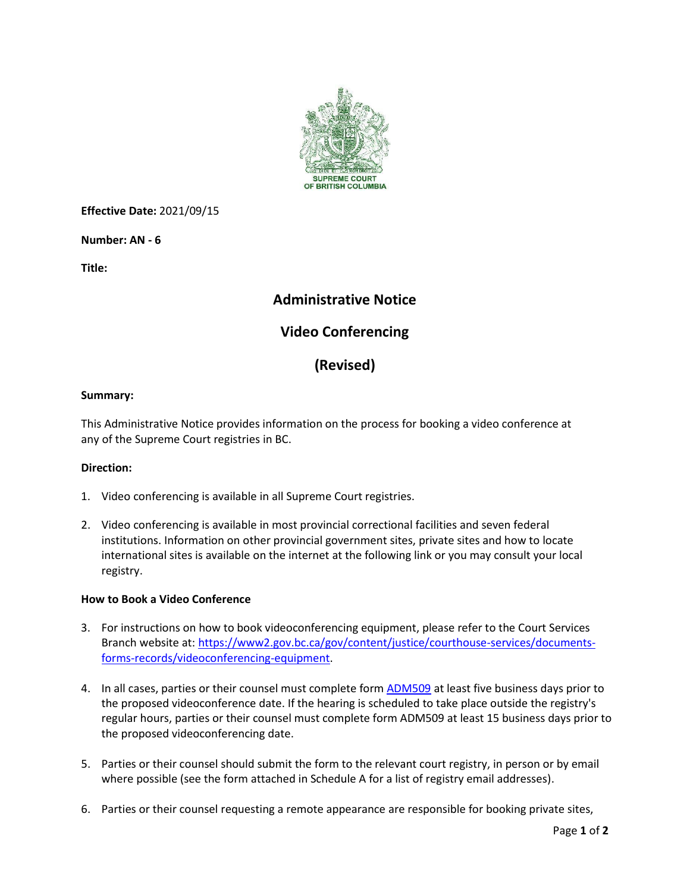

**Effective Date:** 2021/09/15

**Number: AN - 6** 

**Title:**

## **Administrative Notice**

## **Video Conferencing**

# **(Revised)**

### **Summary:**

This Administrative Notice provides information on the process for booking a video conference at any of the Supreme Court registries in BC.

### **Direction:**

- 1. Video conferencing is available in all Supreme Court registries.
- 2. Video conferencing is available in most provincial correctional facilities and seven federal institutions. Information on other provincial government sites, private sites and how to locate international sites is available on the internet at the following link or you may consult your local registry.

#### **How to Book a Video Conference**

- 3. For instructions on how to book videoconferencing equipment, please refer to the Court Services Branch website at: [https://www2.gov.bc.ca/gov/content/justice/courthouse-services/documents](https://www2.gov.bc.ca/gov/content/justice/courthouse-services/documents-forms-records/videoconferencing-equipment)[forms-records/videoconferencing-equipment.](https://www2.gov.bc.ca/gov/content/justice/courthouse-services/documents-forms-records/videoconferencing-equipment)
- 4. In all cases, parties or their counsel must complete form [ADM509](https://www2.gov.bc.ca/assets/gov/law-crime-and-justice/courthouse-services/court-files-records/court-forms/admin/adm509.pdf?forcedownload=true) at least five business days prior to the proposed videoconference date. If the hearing is scheduled to take place outside the registry's regular hours, parties or their counsel must complete form ADM509 at least 15 business days prior to the proposed videoconferencing date.
- 5. Parties or their counsel should submit the form to the relevant court registry, in person or by email where possible (see the form attached in Schedule A for a list of registry email addresses).
- 6. Parties or their counsel requesting a remote appearance are responsible for booking private sites,